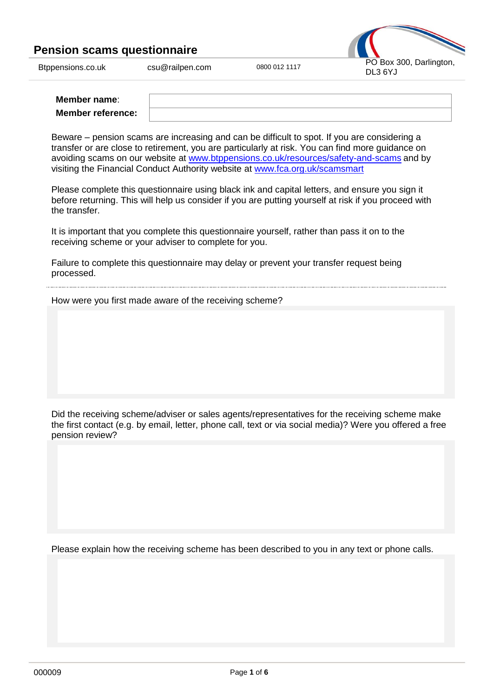

| Member name:             |  |
|--------------------------|--|
| <b>Member reference:</b> |  |

Beware – pension scams are increasing and can be difficult to spot. If you are considering a transfer or are close to retirement, you are particularly at risk. You can find more guidance on avoiding scams on our website at [www.btppensions.co.uk/resources/safety-and-scams](http://www.btppensions.co.uk/resources/safety-and-scams) and by visiting the Financial Conduct Authority website at [www.fca.org.uk/scamsmart](http://www.fca.org.uk/scamsmart)

Please complete this questionnaire using black ink and capital letters, and ensure you sign it before returning. This will help us consider if you are putting yourself at risk if you proceed with the transfer.

It is important that you complete this questionnaire yourself, rather than pass it on to the receiving scheme or your adviser to complete for you.

Failure to complete this questionnaire may delay or prevent your transfer request being processed.

How were you first made aware of the receiving scheme?

Did the receiving scheme/adviser or sales agents/representatives for the receiving scheme make the first contact (e.g. by email, letter, phone call, text or via social media)? Were you offered a free pension review?

Please explain how the receiving scheme has been described to you in any text or phone calls.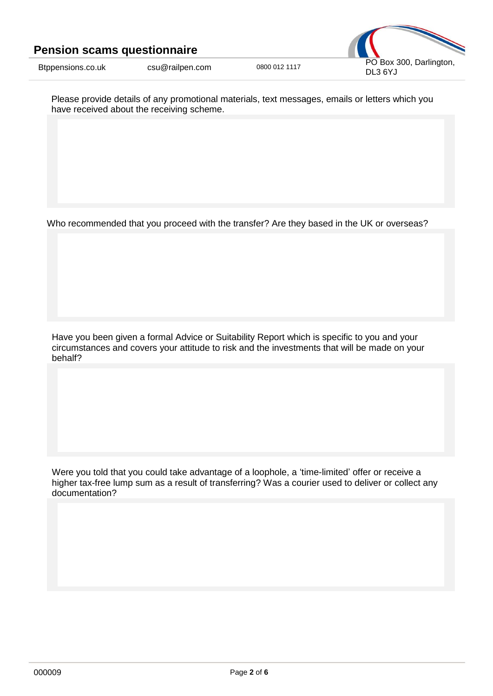

Please provide details of any promotional materials, text messages, emails or letters which you have received about the receiving scheme.

Who recommended that you proceed with the transfer? Are they based in the UK or overseas?

Have you been given a formal Advice or Suitability Report which is specific to you and your circumstances and covers your attitude to risk and the investments that will be made on your behalf?

Were you told that you could take advantage of a loophole, a 'time-limited' offer or receive a higher tax-free lump sum as a result of transferring? Was a courier used to deliver or collect any documentation?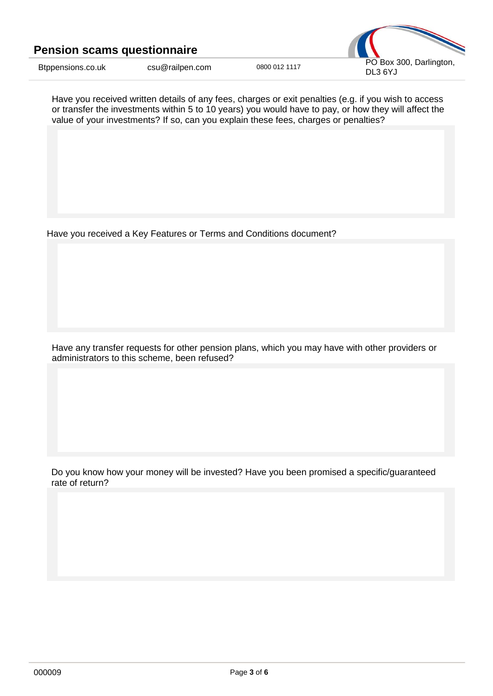

Have you received written details of any fees, charges or exit penalties (e.g. if you wish to access or transfer the investments within 5 to 10 years) you would have to pay, or how they will affect the value of your investments? If so, can you explain these fees, charges or penalties?

Have you received a Key Features or Terms and Conditions document?

Have any transfer requests for other pension plans, which you may have with other providers or administrators to this scheme, been refused?

Do you know how your money will be invested? Have you been promised a specific/guaranteed rate of return?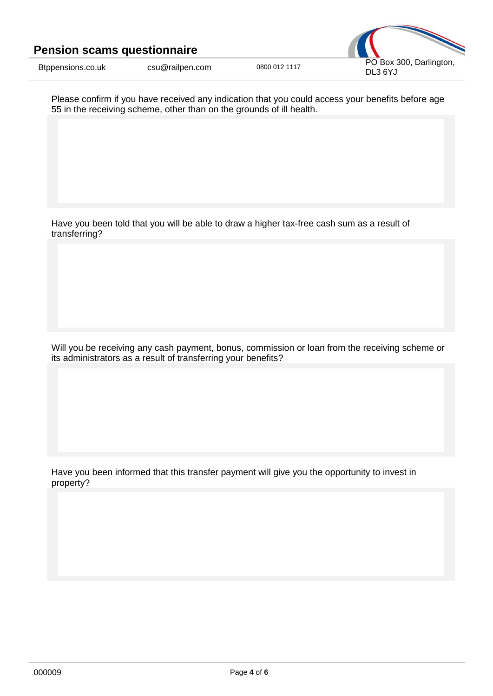



Please confirm if you have received any indication that you could access your benefits before age 55 in the receiving scheme, other than on the grounds of ill health.

Have you been told that you will be able to draw a higher tax-free cash sum as a result of transferring?

Will you be receiving any cash payment, bonus, commission or loan from the receiving scheme or its administrators as a result of transferring your benefits?

Have you been informed that this transfer payment will give you the opportunity to invest in property?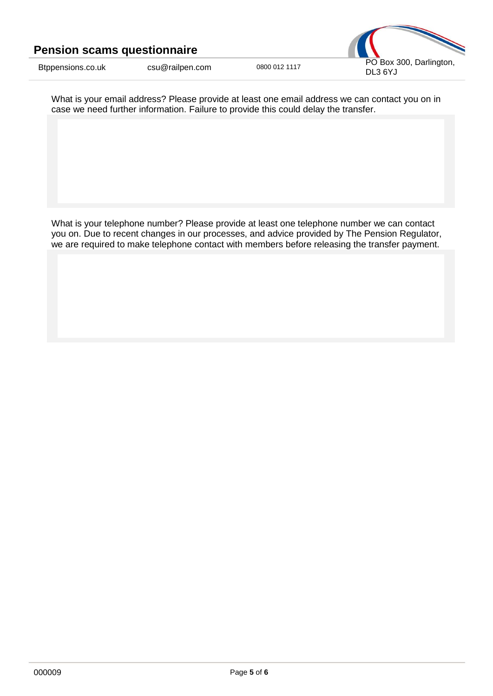



What is your email address? Please provide at least one email address we can contact you on in case we need further information. Failure to provide this could delay the transfer.

What is your telephone number? Please provide at least one telephone number we can contact you on. Due to recent changes in our processes, and advice provided by The Pension Regulator, we are required to make telephone contact with members before releasing the transfer payment.